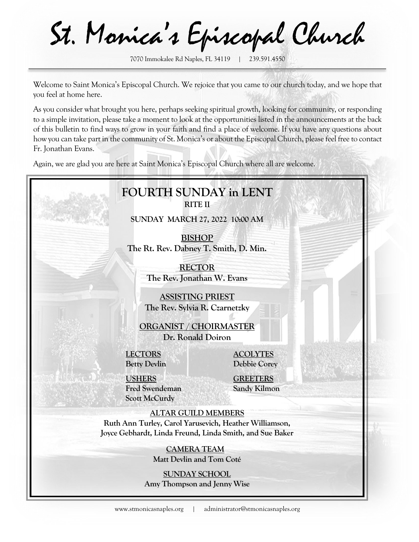St. Monica's Episcopal Church

7070 Immokalee Rd Naples, FL 34119 | 239.591.4550

Welcome to Saint Monica's Episcopal Church. We rejoice that you came to our church today, and we hope that you feel at home here.

As you consider what brought you here, perhaps seeking spiritual growth, looking for community, or responding to a simple invitation, please take a moment to look at the opportunities listed in the announcements at the back of this bulletin to find ways to grow in your faith and find a place of welcome. If you have any questions about how you can take part in the community of St. Monica's or about the Episcopal Church, please feel free to contact Fr. Jonathan Evans.

Again, we are glad you are here at Saint Monica's Episcopal Church where all are welcome.

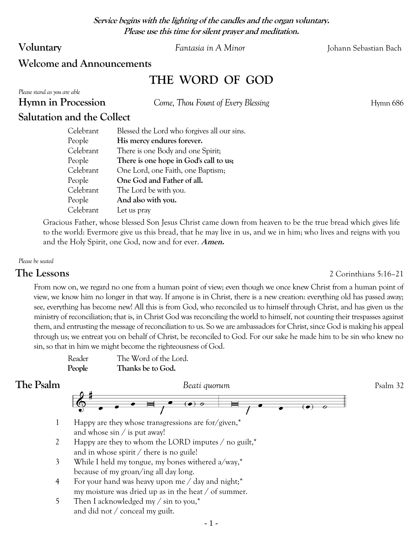**Service begins with the lighting of the candles and the organ voluntary. Please use this time for silent prayer and meditation.**

**Voluntary** *Fantasia in A Minor* Johann Sebastian Bach

## **Welcome and Announcements**

# **THE WORD OF GOD**

*Please stand as you are able*

**Hymn in Procession** *Come, Thou Fount of Every Blessing* **Hymn 686** 

# **Salutation and the Collect**

| Celebrant | Blessed the Lord who forgives all our sins. |
|-----------|---------------------------------------------|
| People    | His mercy endures forever.                  |
| Celebrant | There is one Body and one Spirit;           |
| People    | There is one hope in God's call to us;      |
| Celebrant | One Lord, one Faith, one Baptism;           |
| People    | One God and Father of all.                  |
| Celebrant | The Lord be with you.                       |
| People    | And also with you.                          |
| Celebrant | Let us pray                                 |

Gracious Father, whose blessed Son Jesus Christ came down from heaven to be the true bread which gives life to the world: Evermore give us this bread, that he may live in us, and we in him; who lives and reigns with you and the Holy Spirit, one God, now and for ever. **Amen.**

### *Please be seated*

### **The Lessons** 2 Corinthians 5:16–21

From now on, we regard no one from a human point of view; even though we once knew Christ from a human point of view, we know him no longer in that way. If anyone is in Christ, there is a new creation: everything old has passed away; see, everything has become new! All this is from God, who reconciled us to himself through Christ, and has given us the ministry of reconciliation; that is, in Christ God was reconciling the world to himself, not counting their trespasses against them, and entrusting the message of reconciliation to us. So we are ambassadors for Christ, since God is making his appeal through us; we entreat you on behalf of Christ, be reconciled to God. For our sake he made him to be sin who knew no sin, so that in him we might become the righteousness of God.

Reader The Word of the Lord. **People Thanks be to God.** 



- 1 Happy are they whose transgressions are for/given,\* and whose sin / is put away!
- 2 Happy are they to whom the LORD imputes / no guilt,\* and in whose spirit / there is no guile!
- 3 While I held my tongue, my bones withered a/way,\* because of my groan/ing all day long.
- 4 For your hand was heavy upon me / day and night;\* my moisture was dried up as in the heat / of summer.
- 5 Then I acknowledged my / sin to you,\* and did not / conceal my guilt.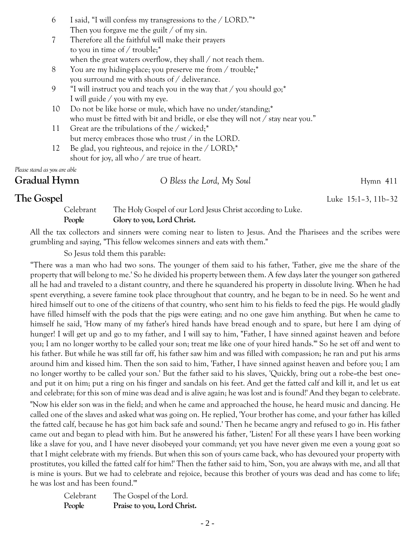| 6 | I said, "I will confess my transgressions to the / LORD."* |
|---|------------------------------------------------------------|
|   | Then you for gave me the guilt $\ell$ of my sin.           |

- 7 Therefore all the faithful will make their prayers to you in time of / trouble;\* when the great waters overflow, they shall / not reach them.
- 8 You are my hiding-place; you preserve me from / trouble;\* you surround me with shouts of / deliverance.
- 9 "I will instruct you and teach you in the way that  $/$  you should go;<sup>\*</sup> I will guide / you with my eye.
- 10 Do not be like horse or mule, which have no under/standing;\* who must be fitted with bit and bridle, or else they will not / stay near you."
- 11 Great are the tribulations of the / wicked;\* but mercy embraces those who trust / in the LORD.
- 12 Be glad, you righteous, and rejoice in the / LORD;\* shout for joy, all who / are true of heart.

*Please stand as you are able*

**Gradual Hymn** *O Bless the Lord, My Soul* Hymn 411

**The Gospel** Luke 15:1–3, 11b–32

Celebrant The Holy Gospel of our Lord Jesus Christ according to Luke. **People Glory to you, Lord Christ.** 

All the tax collectors and sinners were coming near to listen to Jesus. And the Pharisees and the scribes were grumbling and saying, "This fellow welcomes sinners and eats with them."

So Jesus told them this parable:

"There was a man who had two sons. The younger of them said to his father, 'Father, give me the share of the property that will belong to me.' So he divided his property between them. A few days later the younger son gathered all he had and traveled to a distant country, and there he squandered his property in dissolute living. When he had spent everything, a severe famine took place throughout that country, and he began to be in need. So he went and hired himself out to one of the citizens of that country, who sent him to his fields to feed the pigs. He would gladly have filled himself with the pods that the pigs were eating; and no one gave him anything. But when he came to himself he said, 'How many of my father's hired hands have bread enough and to spare, but here I am dying of hunger! I will get up and go to my father, and I will say to him, "Father, I have sinned against heaven and before you; I am no longer worthy to be called your son; treat me like one of your hired hands."' So he set off and went to his father. But while he was still far off, his father saw him and was filled with compassion; he ran and put his arms around him and kissed him. Then the son said to him, 'Father, I have sinned against heaven and before you; I am no longer worthy to be called your son.' But the father said to his slaves, 'Quickly, bring out a robe-the best one-and put it on him; put a ring on his finger and sandals on his feet. And get the fatted calf and kill it, and let us eat and celebrate; for this son of mine was dead and is alive again; he was lost and is found!' And they began to celebrate. "Now his elder son was in the field; and when he came and approached the house, he heard music and dancing. He called one of the slaves and asked what was going on. He replied, 'Your brother has come, and your father has killed the fatted calf, because he has got him back safe and sound.' Then he became angry and refused to go in. His father came out and began to plead with him. But he answered his father, 'Listen! For all these years I have been working like a slave for you, and I have never disobeyed your command; yet you have never given me even a young goat so that I might celebrate with my friends. But when this son of yours came back, who has devoured your property with prostitutes, you killed the fatted calf for him!' Then the father said to him, 'Son, you are always with me, and all that is mine is yours. But we had to celebrate and rejoice, because this brother of yours was dead and has come to life; he was lost and has been found.'"

| Celebrant | The Gospel of the Lord.     |
|-----------|-----------------------------|
| People    | Praise to you, Lord Christ. |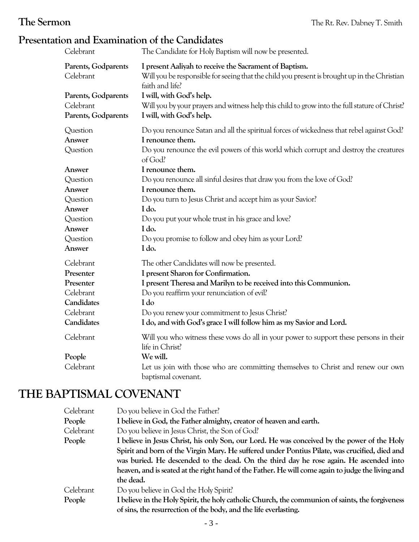# **Presentation and Examination of the Candidates**

| Celebrant                                               | The Candidate for Holy Baptism will now be presented.                                                                                                                     |
|---------------------------------------------------------|---------------------------------------------------------------------------------------------------------------------------------------------------------------------------|
| Parents, Godparents<br>Celebrant                        | I present Aaliyah to receive the Sacrament of Baptism.<br>Will you be responsible for seeing that the child you present is brought up in the Christian<br>faith and life? |
| Parents, Godparents<br>Celebrant<br>Parents, Godparents | I will, with God's help.<br>Will you by your prayers and witness help this child to grow into the full stature of Christ?<br>I will, with God's help.                     |
| Question<br>Answer                                      | Do you renounce Satan and all the spiritual forces of wickedness that rebel against God?<br>I renounce them.                                                              |
| Question                                                | Do you renounce the evil powers of this world which corrupt and destroy the creatures<br>of God?                                                                          |
| Answer                                                  | I renounce them.                                                                                                                                                          |
| Question                                                | Do you renounce all sinful desires that draw you from the love of God?                                                                                                    |
| Answer                                                  | I renounce them.                                                                                                                                                          |
| Question                                                | Do you turn to Jesus Christ and accept him as your Savior?                                                                                                                |
| Answer                                                  | I do.                                                                                                                                                                     |
| Question                                                | Do you put your whole trust in his grace and love?                                                                                                                        |
| Answer                                                  | I do.                                                                                                                                                                     |
| Question                                                | Do you promise to follow and obey him as your Lord?                                                                                                                       |
| Answer                                                  | I do.                                                                                                                                                                     |
| Celebrant                                               | The other Candidates will now be presented.                                                                                                                               |
| Presenter                                               | I present Sharon for Confirmation.                                                                                                                                        |
| Presenter                                               | I present Theresa and Marilyn to be received into this Communion.                                                                                                         |
| Celebrant                                               | Do you reaffirm your renunciation of evil?                                                                                                                                |
| Candidates                                              | I do                                                                                                                                                                      |
| Celebrant                                               | Do you renew your commitment to Jesus Christ?                                                                                                                             |
| Candidates                                              | I do, and with God's grace I will follow him as my Savior and Lord.                                                                                                       |
| Celebrant                                               | Will you who witness these vows do all in your power to support these persons in their<br>life in Christ?                                                                 |
| People                                                  | We will.                                                                                                                                                                  |
| Celebrant                                               | Let us join with those who are committing themselves to Christ and renew our own<br>baptismal covenant.                                                                   |

# **THE BAPTISMAL COVENANT**

| Celebrant | Do you believe in God the Father?                                                                 |
|-----------|---------------------------------------------------------------------------------------------------|
| People    | I believe in God, the Father almighty, creator of heaven and earth.                               |
| Celebrant | Do you believe in Jesus Christ, the Son of God?                                                   |
| People    | I believe in Jesus Christ, his only Son, our Lord. He was conceived by the power of the Holy      |
|           | Spirit and born of the Virgin Mary. He suffered under Pontius Pilate, was crucified, died and     |
|           | was buried. He descended to the dead. On the third day he rose again. He ascended into            |
|           | heaven, and is seated at the right hand of the Father. He will come again to judge the living and |
|           | the dead.                                                                                         |
| Celebrant | Do you believe in God the Holy Spirit?                                                            |
| People    | I believe in the Holy Spirit, the holy catholic Church, the communion of saints, the forgiveness  |
|           | of sins, the resurrection of the body, and the life everlasting.                                  |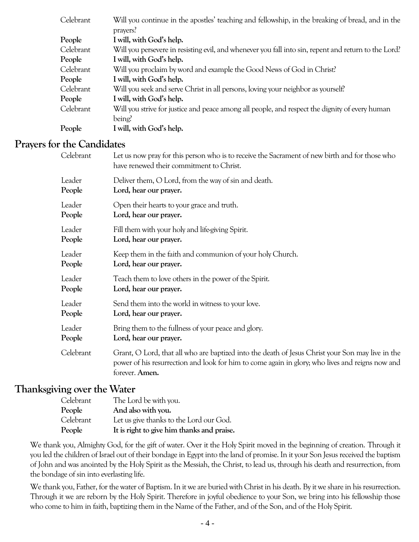| Celebrant | Will you continue in the apostles' teaching and fellowship, in the breaking of bread, and in the     |
|-----------|------------------------------------------------------------------------------------------------------|
|           | prayers?                                                                                             |
| People    | I will, with God's help.                                                                             |
| Celebrant | Will you persevere in resisting evil, and whenever you fall into sin, repent and return to the Lord? |
| People    | I will, with God's help.                                                                             |
| Celebrant | Will you proclaim by word and example the Good News of God in Christ?                                |
| People    | I will, with God's help.                                                                             |
| Celebrant | Will you seek and serve Christ in all persons, loving your neighbor as yourself?                     |
| People    | I will, with God's help.                                                                             |
| Celebrant | Will you strive for justice and peace among all people, and respect the dignity of every human       |
|           | being?                                                                                               |
| People    | I will, with God's help.                                                                             |

# **Prayers for the Candidates**

| Celebrant | Let us now pray for this person who is to receive the Sacrament of new birth and for those who<br>have renewed their commitment to Christ.                                                                            |
|-----------|-----------------------------------------------------------------------------------------------------------------------------------------------------------------------------------------------------------------------|
| Leader    | Deliver them, O Lord, from the way of sin and death.                                                                                                                                                                  |
| People    | Lord, hear our prayer.                                                                                                                                                                                                |
| Leader    | Open their hearts to your grace and truth.                                                                                                                                                                            |
| People    | Lord, hear our prayer.                                                                                                                                                                                                |
| Leader    | Fill them with your holy and life-giving Spirit.                                                                                                                                                                      |
| People    | Lord, hear our prayer.                                                                                                                                                                                                |
| Leader    | Keep them in the faith and communion of your holy Church.                                                                                                                                                             |
| People    | Lord, hear our prayer.                                                                                                                                                                                                |
| Leader    | Teach them to love others in the power of the Spirit.                                                                                                                                                                 |
| People    | Lord, hear our prayer.                                                                                                                                                                                                |
| Leader    | Send them into the world in witness to your love.                                                                                                                                                                     |
| People    | Lord, hear our prayer.                                                                                                                                                                                                |
| Leader    | Bring them to the fullness of your peace and glory.                                                                                                                                                                   |
| People    | Lord, hear our prayer.                                                                                                                                                                                                |
| Celebrant | Grant, O Lord, that all who are baptized into the death of Jesus Christ your Son may live in the<br>power of his resurrection and look for him to come again in glory; who lives and reigns now and<br>forever. Amen. |

# **Thanksgiving over the Water**

| Celebrant | The Lord be with you.                      |
|-----------|--------------------------------------------|
| People    | And also with you.                         |
| Celebrant | Let us give thanks to the Lord our God.    |
| People    | It is right to give him thanks and praise. |

We thank you, Almighty God, for the gift of water. Over it the Holy Spirit moved in the beginning of creation. Through it you led the children of Israel out of their bondage in Egypt into the land of promise. In it your Son Jesus received the baptism of John and was anointed by the Holy Spirit as the Messiah, the Christ, to lead us, through his death and resurrection, from the bondage of sin into everlasting life.

We thank you, Father, for the water of Baptism. In it we are buried with Christ in his death. By it we share in his resurrection. Through it we are reborn by the Holy Spirit. Therefore in joyful obedience to your Son, we bring into his fellowship those who come to him in faith, baptizing them in the Name of the Father, and of the Son, and of the Holy Spirit.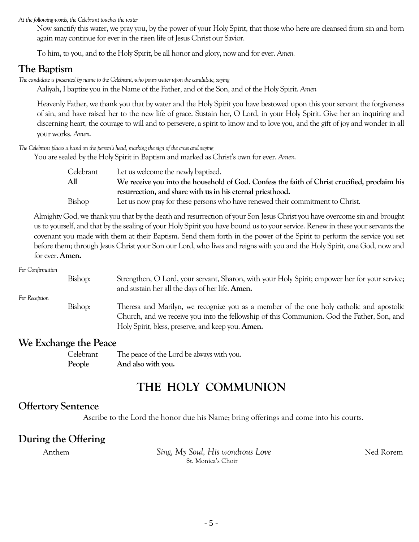*At the following words, the Celebrant touches the water*

Now sanctify this water, we pray you, by the power of your Holy Spirit, that those who here are cleansed from sin and born again may continue for ever in the risen life of Jesus Christ our Savior.

To him, to you, and to the Holy Spirit, be all honor and glory, now and for ever. *Amen.*

# **The Baptism**

*The candidate is presented by name to the Celebrant, who pours water upon the candidate, saying*

Aaliyah, I baptize you in the Name of the Father, and of the Son, and of the Holy Spirit. *Amen*

Heavenly Father, we thank you that by water and the Holy Spirit you have bestowed upon this your servant the forgiveness of sin, and have raised her to the new life of grace. Sustain her, O Lord, in your Holy Spirit. Give her an inquiring and discerning heart, the courage to will and to persevere, a spirit to know and to love you, and the gift of joy and wonder in all your works. *Amen.*

*The Celebrant places a hand on the person's head, marking the sign of the cross and saying*

You are sealed by the Holy Spirit in Baptism and marked as Christ's own for ever. *Amen.*

| Celebrant | Let us welcome the newly baptized.                                                            |
|-----------|-----------------------------------------------------------------------------------------------|
| All       | We receive you into the household of God. Confess the faith of Christ crucified, proclaim his |
|           | resurrection, and share with us in his eternal priesthood.                                    |
| Bishop    | Let us now pray for these persons who have renewed their commitment to Christ.                |

Almighty God, we thank you that by the death and resurrection of your Son Jesus Christ you have overcome sin and brought us to yourself, and that by the sealing of your Holy Spirit you have bound us to your service. Renew in these your servants the covenant you made with them at their Baptism. Send them forth in the power of the Spirit to perform the service you set before them; through Jesus Christyour Son our Lord, who lives and reigns with you and the Holy Spirit, one God, now and for ever. **Amen.**

### *For Confirmation*

| For Reception | Bishop: | Strengthen, O Lord, your servant, Sharon, with your Holy Spirit; empower her for your service;<br>and sustain her all the days of her life. Amen.                                                                                           |
|---------------|---------|---------------------------------------------------------------------------------------------------------------------------------------------------------------------------------------------------------------------------------------------|
|               | Bishop: | Theresa and Marilyn, we recognize you as a member of the one holy catholic and apostolic<br>Church, and we receive you into the fellowship of this Communion. God the Father, Son, and<br>Holy Spirit, bless, preserve, and keep you. Amen. |

### **We Exchange the Peace**

Celebrant The peace of the Lord be always with you. **People And also with you.**

# **THE HOLY COMMUNION**

# **Offertory Sentence**

Ascribe to the Lord the honor due his Name; bring offerings and come into his courts.

# **During the Offering**

Anthem *Sing, My Soul, His wondrous Love* Ned Rorem St. Monica's Choir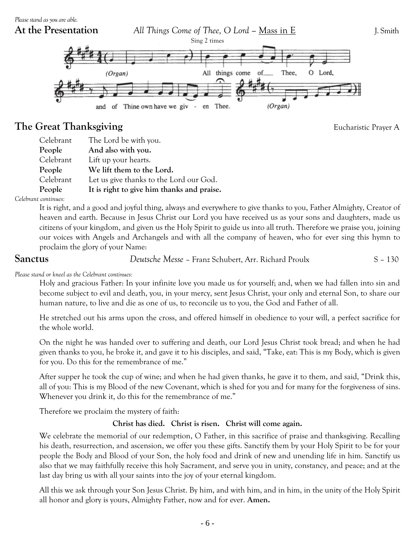

# **The Great Thanksgiving** *Eucharistic Prayer A*

| Celebrant | The Lord be with you.                      |
|-----------|--------------------------------------------|
| People    | And also with you.                         |
| Celebrant | Lift up your hearts.                       |
| People    | We lift them to the Lord.                  |
| Celebrant | Let us give thanks to the Lord our God.    |
| People    | It is right to give him thanks and praise. |

### *Celebrant continues:*

It is right, and a good and joyful thing, always and everywhere to give thanks to you, Father Almighty, Creator of heaven and earth. Because in Jesus Christ our Lord you have received us as your sons and daughters, made us citizens of your kingdom, and given us the Holy Spirit to guide us into all truth. Therefore we praise you, joining our voices with Angels and Archangels and with all the company of heaven, who for ever sing this hymn to proclaim the glory of your Name:

**Sanctus** *Deutsche Messe* – Franz Schubert, Arr. Richard Proulx S – 130

*Please stand or kneel as the Celebrant continues:*

Holy and gracious Father: In your infinite love you made us for yourself; and, when we had fallen into sin and become subject to evil and death, you, in your mercy, sent Jesus Christ, your only and eternal Son, to share our human nature, to live and die as one of us, to reconcile us to you, the God and Father of all.

He stretched out his arms upon the cross, and offered himself in obedience to your will, a perfect sacrifice for the whole world.

On the night he was handed over to suffering and death, our Lord Jesus Christ took bread; and when he had given thanks to you, he broke it, and gave it to his disciples, and said, "Take, eat: This is my Body, which is given for you. Do this for the remembrance of me."

After supper he took the cup of wine; and when he had given thanks, he gave it to them, and said, "Drink this, all of you: This is my Blood of the new Covenant, which is shed for you and for many for the forgiveness of sins. Whenever you drink it, do this for the remembrance of me."

Therefore we proclaim the mystery of faith:

### **Christ has died. Christ is risen. Christ will come again.**

We celebrate the memorial of our redemption, O Father, in this sacrifice of praise and thanksgiving. Recalling his death, resurrection, and ascension, we offer you these gifts. Sanctify them by your Holy Spirit to be for your people the Body and Blood of your Son, the holy food and drink of new and unending life in him. Sanctify us also that we may faithfully receive this holy Sacrament, and serve you in unity, constancy, and peace; and at the last day bring us with all your saints into the joy of your eternal kingdom.

All this we ask through your Son Jesus Christ. By him, and with him, and in him, in the unity of the Holy Spirit all honor and glory is yours, Almighty Father, now and for ever. **Amen.**